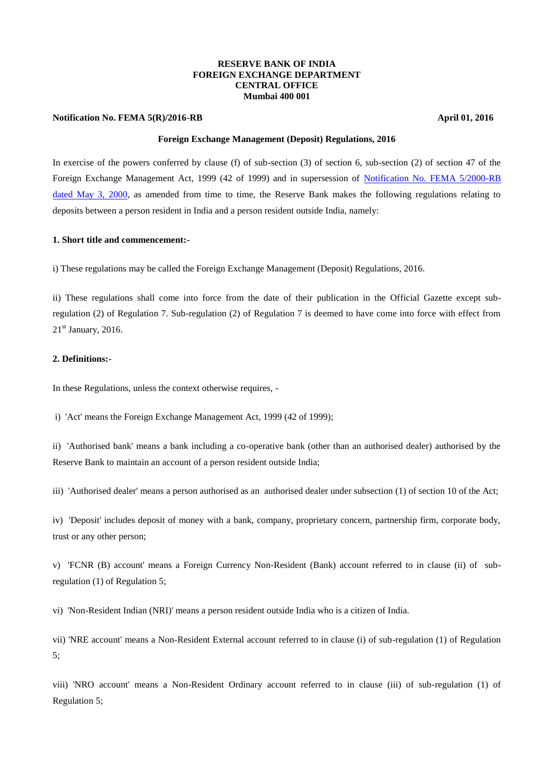### **RESERVE BANK OF INDIA FOREIGN EXCHANGE DEPARTMENT CENTRAL OFFICE Mumbai 400 001**

### **Notification No. FEMA 5(R)/2016-RB April 01, 2016 April 01, 2016**

# **Foreign Exchange Management (Deposit) Regulations, 2016**

In exercise of the powers conferred by clause (f) of sub-section (3) of section 6, sub-section (2) of section 47 of the Foreign Exchange Management Act, 1999 (42 of 1999) and in supersession of [Notification No. FEMA 5/2000-RB](https://www.rbi.org.in/Scripts/NotificationUser.aspx?Id=159&Mode=0)  [dated May 3, 2000,](https://www.rbi.org.in/Scripts/NotificationUser.aspx?Id=159&Mode=0) as amended from time to time, the Reserve Bank makes the following regulations relating to deposits between a person resident in India and a person resident outside India, namely:

### **1. Short title and commencement:-**

i) These regulations may be called the Foreign Exchange Management (Deposit) Regulations, 2016.

ii) These regulations shall come into force from the date of their publication in the Official Gazette except subregulation (2) of Regulation 7. Sub-regulation (2) of Regulation 7 is deemed to have come into force with effect from  $21<sup>st</sup>$  January, 2016.

# **2. Definitions:-**

In these Regulations, unless the context otherwise requires, -

i) 'Act' means the Foreign Exchange Management Act, 1999 (42 of 1999);

ii) 'Authorised bank' means a bank including a co-operative bank (other than an authorised dealer) authorised by the Reserve Bank to maintain an account of a person resident outside India;

iii) 'Authorised dealer' means a person authorised as an authorised dealer under subsection (1) of section 10 of the Act;

iv) 'Deposit' includes deposit of money with a bank, company, proprietary concern, partnership firm, corporate body, trust or any other person;

v) 'FCNR (B) account' means a Foreign Currency Non-Resident (Bank) account referred to in clause (ii) of subregulation (1) of Regulation 5;

vi) 'Non-Resident Indian (NRI)' means a person resident outside India who is a citizen of India.

vii) 'NRE account' means a Non-Resident External account referred to in clause (i) of sub-regulation (1) of Regulation 5;

viii) 'NRO account' means a Non-Resident Ordinary account referred to in clause (iii) of sub-regulation (1) of Regulation 5;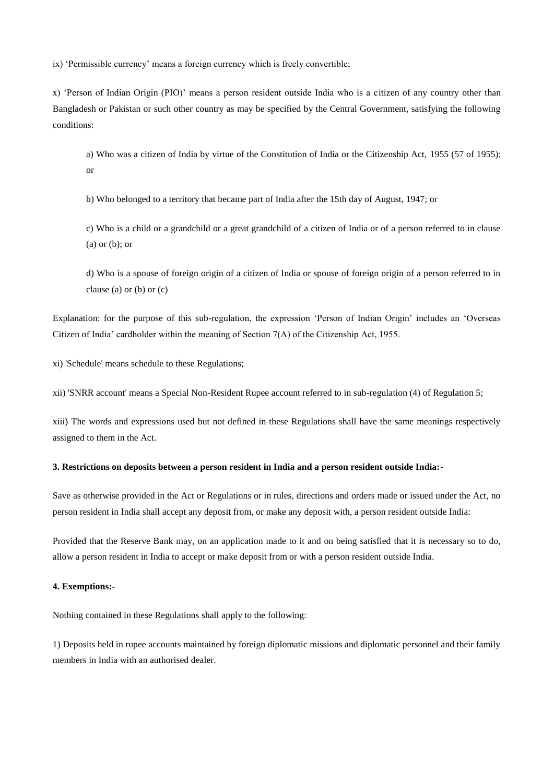ix) 'Permissible currency' means a foreign currency which is freely convertible;

x) 'Person of Indian Origin (PIO)' means a person resident outside India who is a citizen of any country other than Bangladesh or Pakistan or such other country as may be specified by the Central Government, satisfying the following conditions:

a) Who was a citizen of India by virtue of the Constitution of India or the Citizenship Act, 1955 (57 of 1955); or

b) Who belonged to a territory that became part of India after the 15th day of August, 1947; or

c) Who is a child or a grandchild or a great grandchild of a citizen of India or of a person referred to in clause (a) or (b); or

d) Who is a spouse of foreign origin of a citizen of India or spouse of foreign origin of a person referred to in clause (a) or (b) or (c)

Explanation: for the purpose of this sub-regulation, the expression 'Person of Indian Origin' includes an 'Overseas Citizen of India' cardholder within the meaning of Section 7(A) of the Citizenship Act, 1955.

xi) 'Schedule' means schedule to these Regulations;

xii) 'SNRR account' means a Special Non-Resident Rupee account referred to in sub-regulation (4) of Regulation 5;

xiii) The words and expressions used but not defined in these Regulations shall have the same meanings respectively assigned to them in the Act.

### **3. Restrictions on deposits between a person resident in India and a person resident outside India:-**

Save as otherwise provided in the Act or Regulations or in rules, directions and orders made or issued under the Act, no person resident in India shall accept any deposit from, or make any deposit with, a person resident outside India:

Provided that the Reserve Bank may, on an application made to it and on being satisfied that it is necessary so to do, allow a person resident in India to accept or make deposit from or with a person resident outside India.

# **4. Exemptions:-**

Nothing contained in these Regulations shall apply to the following:

1) Deposits held in rupee accounts maintained by foreign diplomatic missions and diplomatic personnel and their family members in India with an authorised dealer.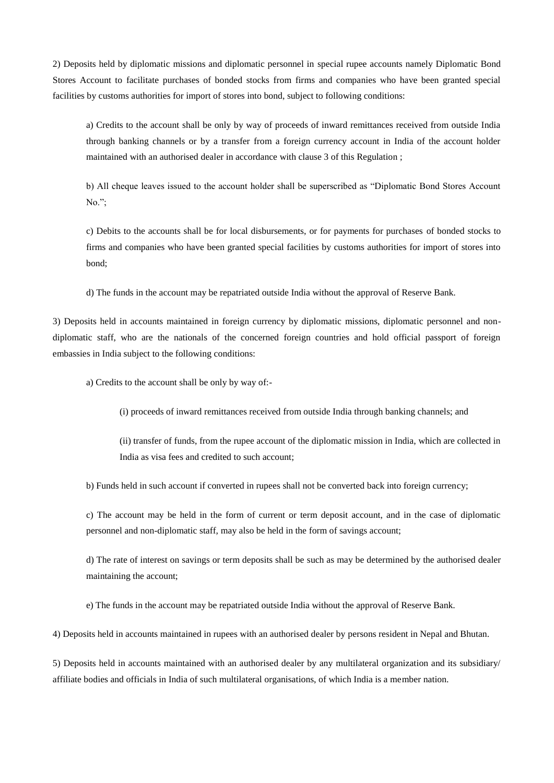2) Deposits held by diplomatic missions and diplomatic personnel in special rupee accounts namely Diplomatic Bond Stores Account to facilitate purchases of bonded stocks from firms and companies who have been granted special facilities by customs authorities for import of stores into bond, subject to following conditions:

a) Credits to the account shall be only by way of proceeds of inward remittances received from outside India through banking channels or by a transfer from a foreign currency account in India of the account holder maintained with an authorised dealer in accordance with clause 3 of this Regulation ;

b) All cheque leaves issued to the account holder shall be superscribed as "Diplomatic Bond Stores Account No.";

c) Debits to the accounts shall be for local disbursements, or for payments for purchases of bonded stocks to firms and companies who have been granted special facilities by customs authorities for import of stores into bond;

d) The funds in the account may be repatriated outside India without the approval of Reserve Bank.

3) Deposits held in accounts maintained in foreign currency by diplomatic missions, diplomatic personnel and nondiplomatic staff, who are the nationals of the concerned foreign countries and hold official passport of foreign embassies in India subject to the following conditions:

a) Credits to the account shall be only by way of:-

(i) proceeds of inward remittances received from outside India through banking channels; and

(ii) transfer of funds, from the rupee account of the diplomatic mission in India, which are collected in India as visa fees and credited to such account;

b) Funds held in such account if converted in rupees shall not be converted back into foreign currency;

c) The account may be held in the form of current or term deposit account, and in the case of diplomatic personnel and non-diplomatic staff, may also be held in the form of savings account;

d) The rate of interest on savings or term deposits shall be such as may be determined by the authorised dealer maintaining the account;

e) The funds in the account may be repatriated outside India without the approval of Reserve Bank.

4) Deposits held in accounts maintained in rupees with an authorised dealer by persons resident in Nepal and Bhutan.

5) Deposits held in accounts maintained with an authorised dealer by any multilateral organization and its subsidiary/ affiliate bodies and officials in India of such multilateral organisations, of which India is a member nation.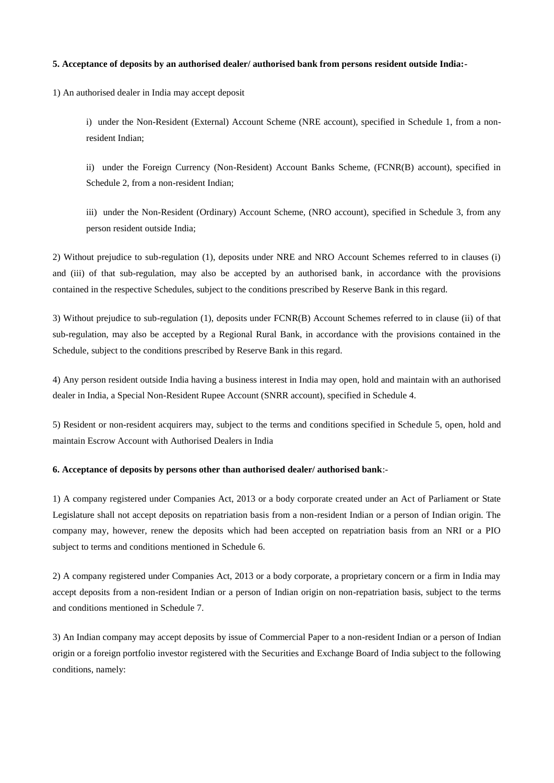#### **5. Acceptance of deposits by an authorised dealer/ authorised bank from persons resident outside India:-**

1) An authorised dealer in India may accept deposit

i) under the Non-Resident (External) Account Scheme (NRE account), specified in Schedule 1, from a nonresident Indian;

ii) under the Foreign Currency (Non-Resident) Account Banks Scheme, (FCNR(B) account), specified in Schedule 2, from a non-resident Indian;

iii) under the Non-Resident (Ordinary) Account Scheme, (NRO account), specified in Schedule 3, from any person resident outside India;

2) Without prejudice to sub-regulation (1), deposits under NRE and NRO Account Schemes referred to in clauses (i) and (iii) of that sub-regulation, may also be accepted by an authorised bank, in accordance with the provisions contained in the respective Schedules, subject to the conditions prescribed by Reserve Bank in this regard.

3) Without prejudice to sub-regulation (1), deposits under FCNR(B) Account Schemes referred to in clause (ii) of that sub-regulation, may also be accepted by a Regional Rural Bank, in accordance with the provisions contained in the Schedule, subject to the conditions prescribed by Reserve Bank in this regard.

4) Any person resident outside India having a business interest in India may open, hold and maintain with an authorised dealer in India, a Special Non-Resident Rupee Account (SNRR account), specified in Schedule 4.

5) Resident or non-resident acquirers may, subject to the terms and conditions specified in Schedule 5, open, hold and maintain Escrow Account with Authorised Dealers in India

#### **6. Acceptance of deposits by persons other than authorised dealer/ authorised bank**:-

1) A company registered under Companies Act, 2013 or a body corporate created under an Act of Parliament or State Legislature shall not accept deposits on repatriation basis from a non-resident Indian or a person of Indian origin. The company may, however, renew the deposits which had been accepted on repatriation basis from an NRI or a PIO subject to terms and conditions mentioned in Schedule 6.

2) A company registered under Companies Act, 2013 or a body corporate, a proprietary concern or a firm in India may accept deposits from a non-resident Indian or a person of Indian origin on non-repatriation basis, subject to the terms and conditions mentioned in Schedule 7.

3) An Indian company may accept deposits by issue of Commercial Paper to a non-resident Indian or a person of Indian origin or a foreign portfolio investor registered with the Securities and Exchange Board of India subject to the following conditions, namely: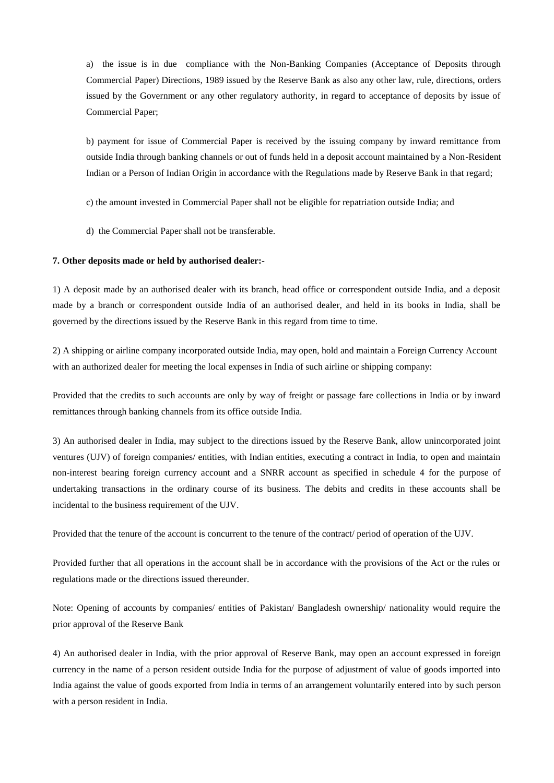a) the issue is in due compliance with the Non-Banking Companies (Acceptance of Deposits through Commercial Paper) Directions, 1989 issued by the Reserve Bank as also any other law, rule, directions, orders issued by the Government or any other regulatory authority, in regard to acceptance of deposits by issue of Commercial Paper;

b) payment for issue of Commercial Paper is received by the issuing company by inward remittance from outside India through banking channels or out of funds held in a deposit account maintained by a Non-Resident Indian or a Person of Indian Origin in accordance with the Regulations made by Reserve Bank in that regard;

c) the amount invested in Commercial Paper shall not be eligible for repatriation outside India; and

d) the Commercial Paper shall not be transferable.

#### **7. Other deposits made or held by authorised dealer:-**

1) A deposit made by an authorised dealer with its branch, head office or correspondent outside India, and a deposit made by a branch or correspondent outside India of an authorised dealer, and held in its books in India, shall be governed by the directions issued by the Reserve Bank in this regard from time to time.

2) A shipping or airline company incorporated outside India, may open, hold and maintain a Foreign Currency Account with an authorized dealer for meeting the local expenses in India of such airline or shipping company:

Provided that the credits to such accounts are only by way of freight or passage fare collections in India or by inward remittances through banking channels from its office outside India.

3) An authorised dealer in India, may subject to the directions issued by the Reserve Bank, allow unincorporated joint ventures (UJV) of foreign companies/ entities, with Indian entities, executing a contract in India, to open and maintain non-interest bearing foreign currency account and a SNRR account as specified in schedule 4 for the purpose of undertaking transactions in the ordinary course of its business. The debits and credits in these accounts shall be incidental to the business requirement of the UJV.

Provided that the tenure of the account is concurrent to the tenure of the contract/ period of operation of the UJV.

Provided further that all operations in the account shall be in accordance with the provisions of the Act or the rules or regulations made or the directions issued thereunder.

Note: Opening of accounts by companies/ entities of Pakistan/ Bangladesh ownership/ nationality would require the prior approval of the Reserve Bank

4) An authorised dealer in India, with the prior approval of Reserve Bank, may open an account expressed in foreign currency in the name of a person resident outside India for the purpose of adjustment of value of goods imported into India against the value of goods exported from India in terms of an arrangement voluntarily entered into by such person with a person resident in India.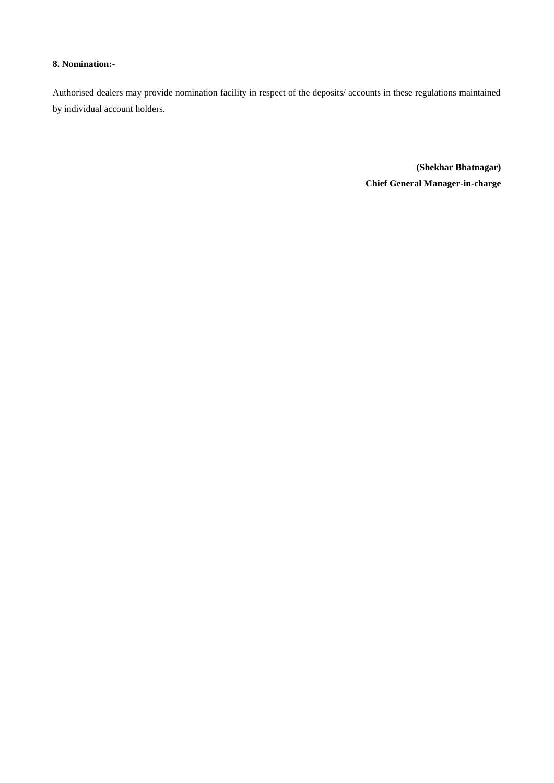# **8. Nomination:-**

Authorised dealers may provide nomination facility in respect of the deposits/ accounts in these regulations maintained by individual account holders.

> **(Shekhar Bhatnagar) Chief General Manager-in-charge**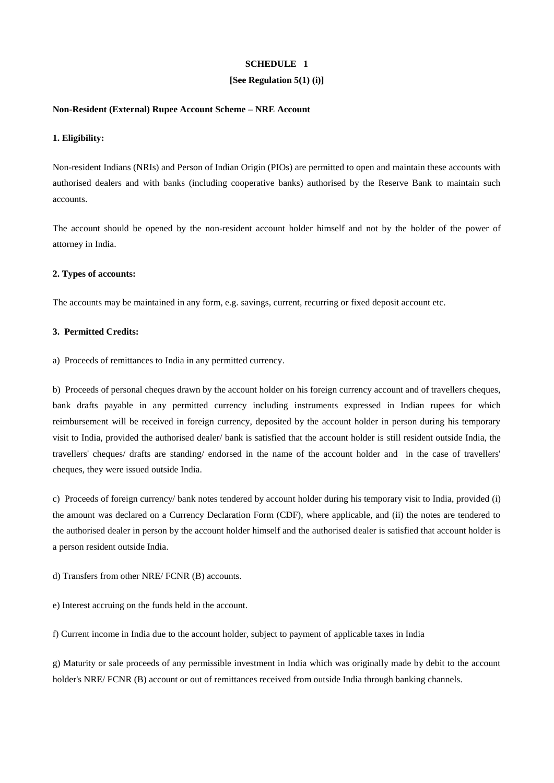### **[See Regulation 5(1) (i)]**

### **Non-Resident (External) Rupee Account Scheme – NRE Account**

### **1. Eligibility:**

Non-resident Indians (NRIs) and Person of Indian Origin (PIOs) are permitted to open and maintain these accounts with authorised dealers and with banks (including cooperative banks) authorised by the Reserve Bank to maintain such accounts.

The account should be opened by the non-resident account holder himself and not by the holder of the power of attorney in India.

#### **2. Types of accounts:**

The accounts may be maintained in any form, e.g. savings, current, recurring or fixed deposit account etc.

### **3. Permitted Credits:**

a) Proceeds of remittances to India in any permitted currency.

b) Proceeds of personal cheques drawn by the account holder on his foreign currency account and of travellers cheques, bank drafts payable in any permitted currency including instruments expressed in Indian rupees for which reimbursement will be received in foreign currency, deposited by the account holder in person during his temporary visit to India, provided the authorised dealer/ bank is satisfied that the account holder is still resident outside India, the travellers' cheques/ drafts are standing/ endorsed in the name of the account holder and in the case of travellers' cheques, they were issued outside India.

c) Proceeds of foreign currency/ bank notes tendered by account holder during his temporary visit to India, provided (i) the amount was declared on a Currency Declaration Form (CDF), where applicable, and (ii) the notes are tendered to the authorised dealer in person by the account holder himself and the authorised dealer is satisfied that account holder is a person resident outside India.

#### d) Transfers from other NRE/ FCNR (B) accounts.

e) Interest accruing on the funds held in the account.

f) Current income in India due to the account holder, subject to payment of applicable taxes in India

g) Maturity or sale proceeds of any permissible investment in India which was originally made by debit to the account holder's NRE/ FCNR (B) account or out of remittances received from outside India through banking channels.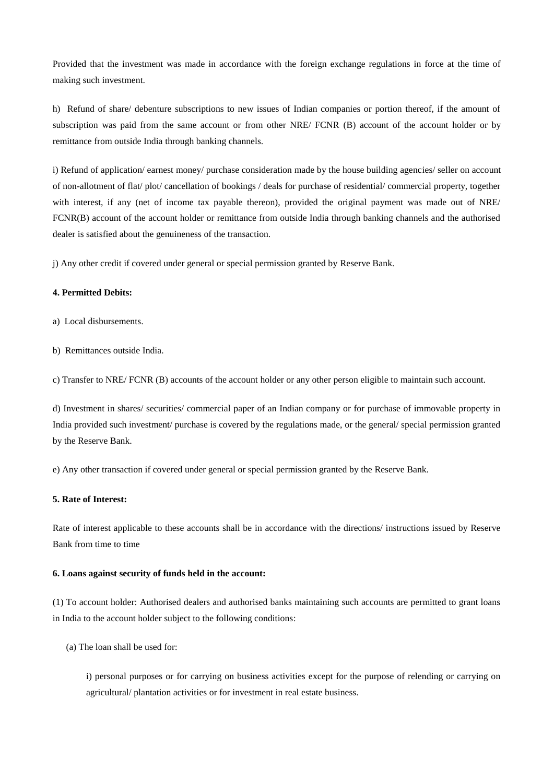Provided that the investment was made in accordance with the foreign exchange regulations in force at the time of making such investment.

h) Refund of share/ debenture subscriptions to new issues of Indian companies or portion thereof, if the amount of subscription was paid from the same account or from other NRE/ FCNR (B) account of the account holder or by remittance from outside India through banking channels.

i) Refund of application/ earnest money/ purchase consideration made by the house building agencies/ seller on account of non-allotment of flat/ plot/ cancellation of bookings / deals for purchase of residential/ commercial property, together with interest, if any (net of income tax payable thereon), provided the original payment was made out of NRE/ FCNR(B) account of the account holder or remittance from outside India through banking channels and the authorised dealer is satisfied about the genuineness of the transaction.

j) Any other credit if covered under general or special permission granted by Reserve Bank.

# **4. Permitted Debits:**

- a) Local disbursements.
- b) Remittances outside India.

c) Transfer to NRE/ FCNR (B) accounts of the account holder or any other person eligible to maintain such account.

d) Investment in shares/ securities/ commercial paper of an Indian company or for purchase of immovable property in India provided such investment/ purchase is covered by the regulations made, or the general/ special permission granted by the Reserve Bank.

e) Any other transaction if covered under general or special permission granted by the Reserve Bank.

# **5. Rate of Interest:**

Rate of interest applicable to these accounts shall be in accordance with the directions/ instructions issued by Reserve Bank from time to time

#### **6. Loans against security of funds held in the account:**

(1) To account holder: Authorised dealers and authorised banks maintaining such accounts are permitted to grant loans in India to the account holder subject to the following conditions:

(a) The loan shall be used for:

i) personal purposes or for carrying on business activities except for the purpose of relending or carrying on agricultural/ plantation activities or for investment in real estate business.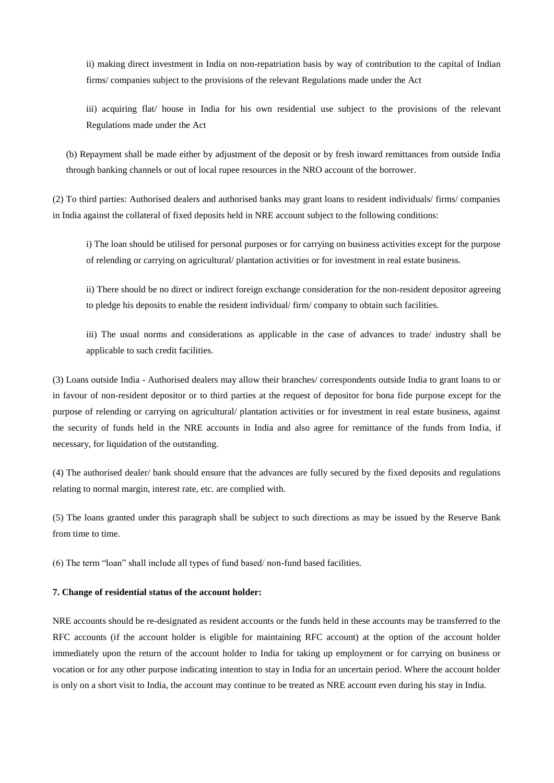ii) making direct investment in India on non-repatriation basis by way of contribution to the capital of Indian firms/ companies subject to the provisions of the relevant Regulations made under the Act

iii) acquiring flat/ house in India for his own residential use subject to the provisions of the relevant Regulations made under the Act

(b) Repayment shall be made either by adjustment of the deposit or by fresh inward remittances from outside India through banking channels or out of local rupee resources in the NRO account of the borrower.

(2) To third parties: Authorised dealers and authorised banks may grant loans to resident individuals/ firms/ companies in India against the collateral of fixed deposits held in NRE account subject to the following conditions:

i) The loan should be utilised for personal purposes or for carrying on business activities except for the purpose of relending or carrying on agricultural/ plantation activities or for investment in real estate business.

ii) There should be no direct or indirect foreign exchange consideration for the non-resident depositor agreeing to pledge his deposits to enable the resident individual/ firm/ company to obtain such facilities.

iii) The usual norms and considerations as applicable in the case of advances to trade/ industry shall be applicable to such credit facilities.

(3) Loans outside India - Authorised dealers may allow their branches/ correspondents outside India to grant loans to or in favour of non-resident depositor or to third parties at the request of depositor for bona fide purpose except for the purpose of relending or carrying on agricultural/ plantation activities or for investment in real estate business, against the security of funds held in the NRE accounts in India and also agree for remittance of the funds from India, if necessary, for liquidation of the outstanding.

(4) The authorised dealer/ bank should ensure that the advances are fully secured by the fixed deposits and regulations relating to normal margin, interest rate, etc. are complied with.

(5) The loans granted under this paragraph shall be subject to such directions as may be issued by the Reserve Bank from time to time.

(6) The term "loan" shall include all types of fund based/ non-fund based facilities.

#### **7. Change of residential status of the account holder:**

NRE accounts should be re-designated as resident accounts or the funds held in these accounts may be transferred to the RFC accounts (if the account holder is eligible for maintaining RFC account) at the option of the account holder immediately upon the return of the account holder to India for taking up employment or for carrying on business or vocation or for any other purpose indicating intention to stay in India for an uncertain period. Where the account holder is only on a short visit to India, the account may continue to be treated as NRE account even during his stay in India.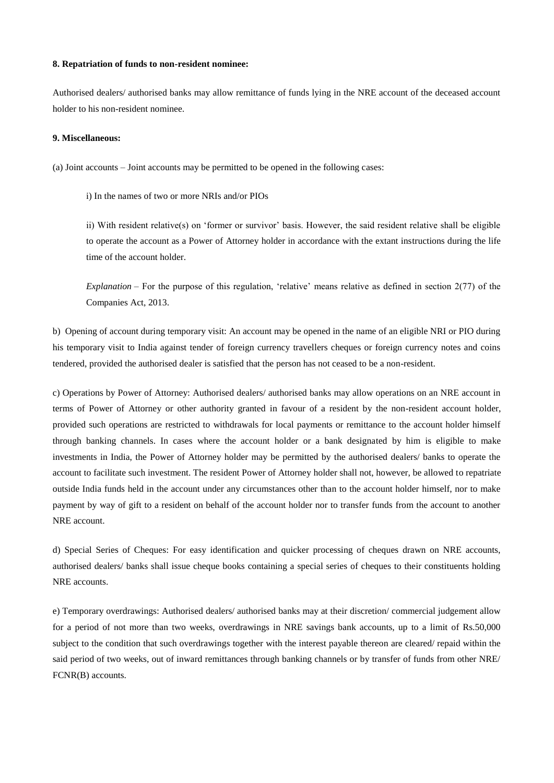#### **8. Repatriation of funds to non-resident nominee:**

Authorised dealers/ authorised banks may allow remittance of funds lying in the NRE account of the deceased account holder to his non-resident nominee.

### **9. Miscellaneous:**

(a) Joint accounts – Joint accounts may be permitted to be opened in the following cases:

i) In the names of two or more NRIs and/or PIOs

ii) With resident relative(s) on 'former or survivor' basis. However, the said resident relative shall be eligible to operate the account as a Power of Attorney holder in accordance with the extant instructions during the life time of the account holder.

*Explanation* – For the purpose of this regulation, 'relative' means relative as defined in section 2(77) of the Companies Act, 2013.

b) Opening of account during temporary visit: An account may be opened in the name of an eligible NRI or PIO during his temporary visit to India against tender of foreign currency travellers cheques or foreign currency notes and coins tendered, provided the authorised dealer is satisfied that the person has not ceased to be a non-resident.

c) Operations by Power of Attorney: Authorised dealers/ authorised banks may allow operations on an NRE account in terms of Power of Attorney or other authority granted in favour of a resident by the non-resident account holder, provided such operations are restricted to withdrawals for local payments or remittance to the account holder himself through banking channels. In cases where the account holder or a bank designated by him is eligible to make investments in India, the Power of Attorney holder may be permitted by the authorised dealers/ banks to operate the account to facilitate such investment. The resident Power of Attorney holder shall not, however, be allowed to repatriate outside India funds held in the account under any circumstances other than to the account holder himself, nor to make payment by way of gift to a resident on behalf of the account holder nor to transfer funds from the account to another NRE account.

d) Special Series of Cheques: For easy identification and quicker processing of cheques drawn on NRE accounts, authorised dealers/ banks shall issue cheque books containing a special series of cheques to their constituents holding NRE accounts.

e) Temporary overdrawings: Authorised dealers/ authorised banks may at their discretion/ commercial judgement allow for a period of not more than two weeks, overdrawings in NRE savings bank accounts, up to a limit of Rs.50,000 subject to the condition that such overdrawings together with the interest payable thereon are cleared/ repaid within the said period of two weeks, out of inward remittances through banking channels or by transfer of funds from other NRE/ FCNR(B) accounts.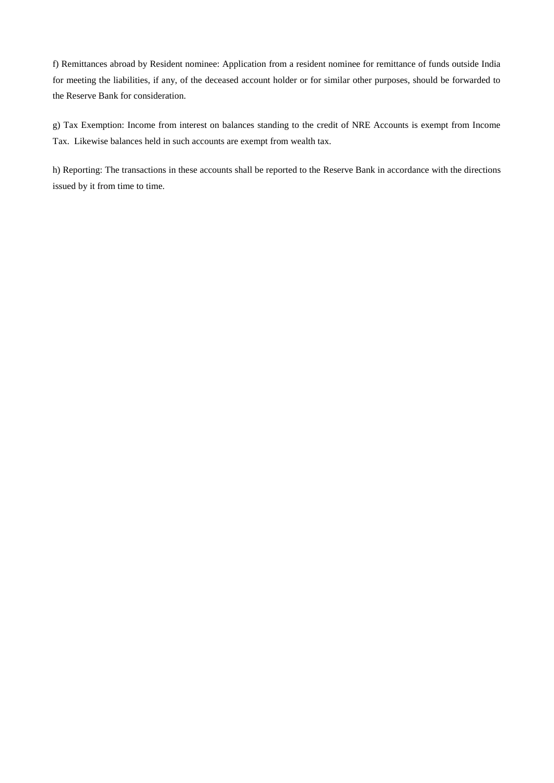f) Remittances abroad by Resident nominee: Application from a resident nominee for remittance of funds outside India for meeting the liabilities, if any, of the deceased account holder or for similar other purposes, should be forwarded to the Reserve Bank for consideration.

g) Tax Exemption: Income from interest on balances standing to the credit of NRE Accounts is exempt from Income Tax. Likewise balances held in such accounts are exempt from wealth tax.

h) Reporting: The transactions in these accounts shall be reported to the Reserve Bank in accordance with the directions issued by it from time to time.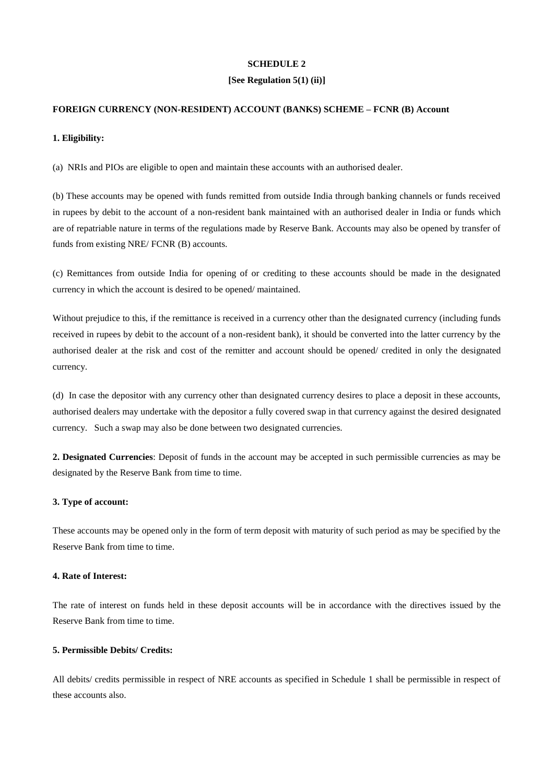### **[See Regulation 5(1) (ii)]**

### **FOREIGN CURRENCY (NON-RESIDENT) ACCOUNT (BANKS) SCHEME – FCNR (B) Account**

### **1. Eligibility:**

(a) NRIs and PIOs are eligible to open and maintain these accounts with an authorised dealer.

(b) These accounts may be opened with funds remitted from outside India through banking channels or funds received in rupees by debit to the account of a non-resident bank maintained with an authorised dealer in India or funds which are of repatriable nature in terms of the regulations made by Reserve Bank. Accounts may also be opened by transfer of funds from existing NRE/ FCNR (B) accounts.

(c) Remittances from outside India for opening of or crediting to these accounts should be made in the designated currency in which the account is desired to be opened/ maintained.

Without prejudice to this, if the remittance is received in a currency other than the designated currency (including funds received in rupees by debit to the account of a non-resident bank), it should be converted into the latter currency by the authorised dealer at the risk and cost of the remitter and account should be opened/ credited in only the designated currency.

(d) In case the depositor with any currency other than designated currency desires to place a deposit in these accounts, authorised dealers may undertake with the depositor a fully covered swap in that currency against the desired designated currency. Such a swap may also be done between two designated currencies.

**2. Designated Currencies**: Deposit of funds in the account may be accepted in such permissible currencies as may be designated by the Reserve Bank from time to time.

## **3. Type of account:**

These accounts may be opened only in the form of term deposit with maturity of such period as may be specified by the Reserve Bank from time to time.

### **4. Rate of Interest:**

The rate of interest on funds held in these deposit accounts will be in accordance with the directives issued by the Reserve Bank from time to time.

# **5. Permissible Debits/ Credits:**

All debits/ credits permissible in respect of NRE accounts as specified in Schedule 1 shall be permissible in respect of these accounts also.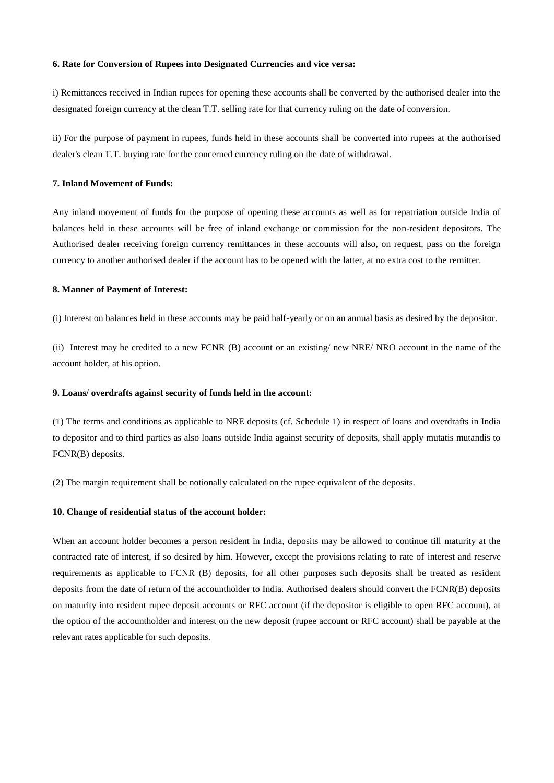#### **6. Rate for Conversion of Rupees into Designated Currencies and vice versa:**

i) Remittances received in Indian rupees for opening these accounts shall be converted by the authorised dealer into the designated foreign currency at the clean T.T. selling rate for that currency ruling on the date of conversion.

ii) For the purpose of payment in rupees, funds held in these accounts shall be converted into rupees at the authorised dealer's clean T.T. buying rate for the concerned currency ruling on the date of withdrawal.

### **7. Inland Movement of Funds:**

Any inland movement of funds for the purpose of opening these accounts as well as for repatriation outside India of balances held in these accounts will be free of inland exchange or commission for the non-resident depositors. The Authorised dealer receiving foreign currency remittances in these accounts will also, on request, pass on the foreign currency to another authorised dealer if the account has to be opened with the latter, at no extra cost to the remitter.

### **8. Manner of Payment of Interest:**

(i) Interest on balances held in these accounts may be paid half-yearly or on an annual basis as desired by the depositor.

(ii) Interest may be credited to a new FCNR (B) account or an existing/ new NRE/ NRO account in the name of the account holder, at his option.

### **9. Loans/ overdrafts against security of funds held in the account:**

(1) The terms and conditions as applicable to NRE deposits (cf. Schedule 1) in respect of loans and overdrafts in India to depositor and to third parties as also loans outside India against security of deposits, shall apply mutatis mutandis to FCNR(B) deposits.

(2) The margin requirement shall be notionally calculated on the rupee equivalent of the deposits.

#### **10. Change of residential status of the account holder:**

When an account holder becomes a person resident in India, deposits may be allowed to continue till maturity at the contracted rate of interest, if so desired by him. However, except the provisions relating to rate of interest and reserve requirements as applicable to FCNR (B) deposits, for all other purposes such deposits shall be treated as resident deposits from the date of return of the accountholder to India. Authorised dealers should convert the FCNR(B) deposits on maturity into resident rupee deposit accounts or RFC account (if the depositor is eligible to open RFC account), at the option of the accountholder and interest on the new deposit (rupee account or RFC account) shall be payable at the relevant rates applicable for such deposits.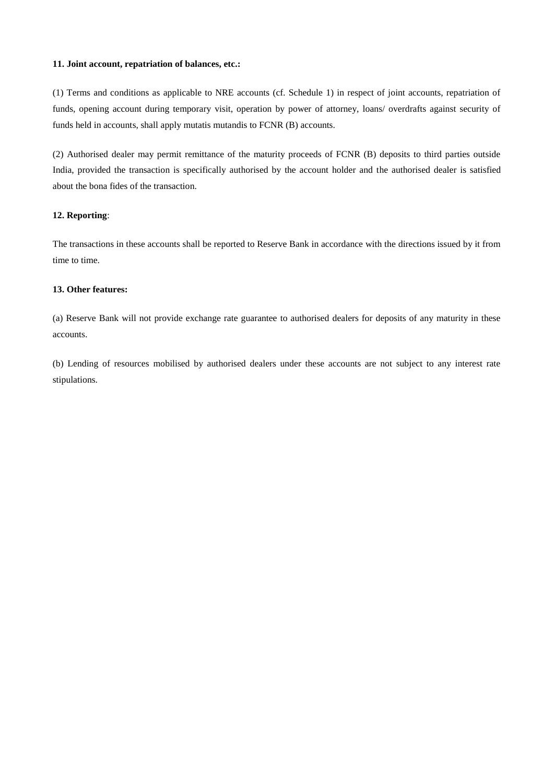# **11. Joint account, repatriation of balances, etc.:**

(1) Terms and conditions as applicable to NRE accounts (cf. Schedule 1) in respect of joint accounts, repatriation of funds, opening account during temporary visit, operation by power of attorney, loans/ overdrafts against security of funds held in accounts, shall apply mutatis mutandis to FCNR (B) accounts.

(2) Authorised dealer may permit remittance of the maturity proceeds of FCNR (B) deposits to third parties outside India, provided the transaction is specifically authorised by the account holder and the authorised dealer is satisfied about the bona fides of the transaction.

### **12. Reporting**:

The transactions in these accounts shall be reported to Reserve Bank in accordance with the directions issued by it from time to time.

# **13. Other features:**

(a) Reserve Bank will not provide exchange rate guarantee to authorised dealers for deposits of any maturity in these accounts.

(b) Lending of resources mobilised by authorised dealers under these accounts are not subject to any interest rate stipulations.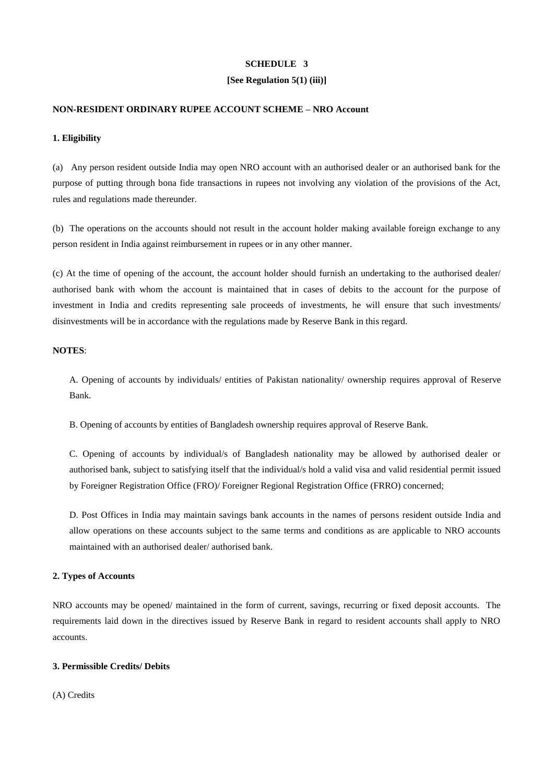### **[See Regulation 5(1) (iii)]**

### **NON-RESIDENT ORDINARY RUPEE ACCOUNT SCHEME – NRO Account**

### **1. Eligibility**

(a) Any person resident outside India may open NRO account with an authorised dealer or an authorised bank for the purpose of putting through bona fide transactions in rupees not involving any violation of the provisions of the Act, rules and regulations made thereunder.

(b) The operations on the accounts should not result in the account holder making available foreign exchange to any person resident in India against reimbursement in rupees or in any other manner.

(c) At the time of opening of the account, the account holder should furnish an undertaking to the authorised dealer/ authorised bank with whom the account is maintained that in cases of debits to the account for the purpose of investment in India and credits representing sale proceeds of investments, he will ensure that such investments/ disinvestments will be in accordance with the regulations made by Reserve Bank in this regard.

# **NOTES**:

A. Opening of accounts by individuals/ entities of Pakistan nationality/ ownership requires approval of Reserve Bank.

B. Opening of accounts by entities of Bangladesh ownership requires approval of Reserve Bank.

C. Opening of accounts by individual/s of Bangladesh nationality may be allowed by authorised dealer or authorised bank, subject to satisfying itself that the individual/s hold a valid visa and valid residential permit issued by Foreigner Registration Office (FRO)/ Foreigner Regional Registration Office (FRRO) concerned;

D. Post Offices in India may maintain savings bank accounts in the names of persons resident outside India and allow operations on these accounts subject to the same terms and conditions as are applicable to NRO accounts maintained with an authorised dealer/ authorised bank.

### **2. Types of Accounts**

NRO accounts may be opened/ maintained in the form of current, savings, recurring or fixed deposit accounts. The requirements laid down in the directives issued by Reserve Bank in regard to resident accounts shall apply to NRO accounts.

# **3. Permissible Credits/ Debits**

(A) Credits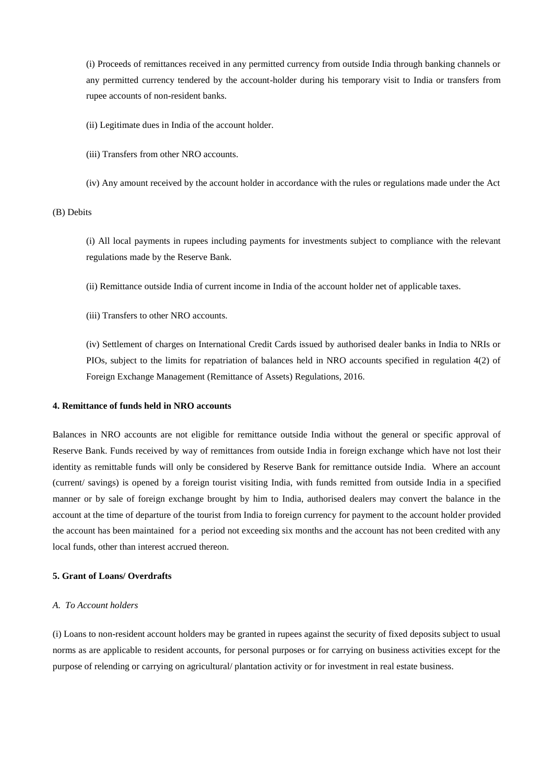(i) Proceeds of remittances received in any permitted currency from outside India through banking channels or any permitted currency tendered by the account-holder during his temporary visit to India or transfers from rupee accounts of non-resident banks.

(ii) Legitimate dues in India of the account holder.

(iii) Transfers from other NRO accounts.

(iv) Any amount received by the account holder in accordance with the rules or regulations made under the Act

(B) Debits

(i) All local payments in rupees including payments for investments subject to compliance with the relevant regulations made by the Reserve Bank.

(ii) Remittance outside India of current income in India of the account holder net of applicable taxes.

(iii) Transfers to other NRO accounts.

(iv) Settlement of charges on International Credit Cards issued by authorised dealer banks in India to NRIs or PIOs, subject to the limits for repatriation of balances held in NRO accounts specified in regulation 4(2) of Foreign Exchange Management (Remittance of Assets) Regulations, 2016.

### **4. Remittance of funds held in NRO accounts**

Balances in NRO accounts are not eligible for remittance outside India without the general or specific approval of Reserve Bank. Funds received by way of remittances from outside India in foreign exchange which have not lost their identity as remittable funds will only be considered by Reserve Bank for remittance outside India. Where an account (current/ savings) is opened by a foreign tourist visiting India, with funds remitted from outside India in a specified manner or by sale of foreign exchange brought by him to India, authorised dealers may convert the balance in the account at the time of departure of the tourist from India to foreign currency for payment to the account holder provided the account has been maintained for a period not exceeding six months and the account has not been credited with any local funds, other than interest accrued thereon.

### **5. Grant of Loans/ Overdrafts**

### *A. To Account holders*

(i) Loans to non-resident account holders may be granted in rupees against the security of fixed deposits subject to usual norms as are applicable to resident accounts, for personal purposes or for carrying on business activities except for the purpose of relending or carrying on agricultural/ plantation activity or for investment in real estate business.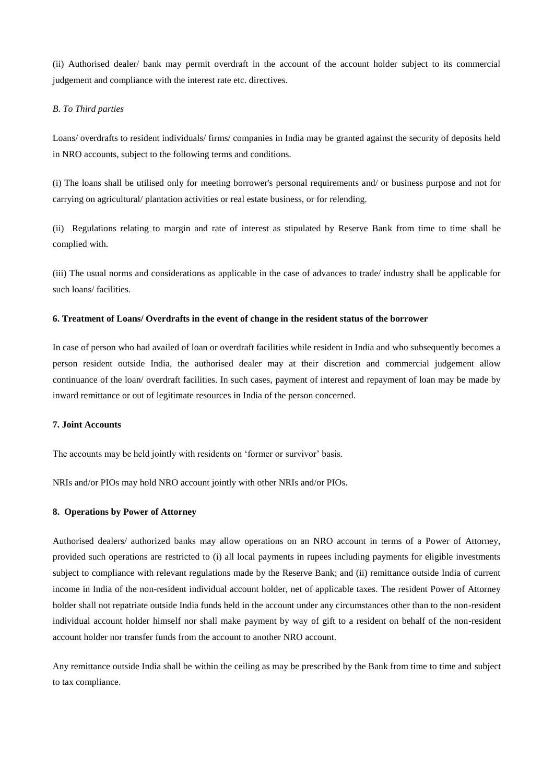(ii) Authorised dealer/ bank may permit overdraft in the account of the account holder subject to its commercial judgement and compliance with the interest rate etc. directives.

### *B. To Third parties*

Loans/ overdrafts to resident individuals/ firms/ companies in India may be granted against the security of deposits held in NRO accounts, subject to the following terms and conditions.

(i) The loans shall be utilised only for meeting borrower's personal requirements and/ or business purpose and not for carrying on agricultural/ plantation activities or real estate business, or for relending.

(ii) Regulations relating to margin and rate of interest as stipulated by Reserve Bank from time to time shall be complied with.

(iii) The usual norms and considerations as applicable in the case of advances to trade/ industry shall be applicable for such loans/ facilities.

#### **6. Treatment of Loans/ Overdrafts in the event of change in the resident status of the borrower**

In case of person who had availed of loan or overdraft facilities while resident in India and who subsequently becomes a person resident outside India, the authorised dealer may at their discretion and commercial judgement allow continuance of the loan/ overdraft facilities. In such cases, payment of interest and repayment of loan may be made by inward remittance or out of legitimate resources in India of the person concerned.

# **7. Joint Accounts**

The accounts may be held jointly with residents on 'former or survivor' basis.

NRIs and/or PIOs may hold NRO account jointly with other NRIs and/or PIOs.

#### **8. Operations by Power of Attorney**

Authorised dealers/ authorized banks may allow operations on an NRO account in terms of a Power of Attorney, provided such operations are restricted to (i) all local payments in rupees including payments for eligible investments subject to compliance with relevant regulations made by the Reserve Bank; and (ii) remittance outside India of current income in India of the non-resident individual account holder, net of applicable taxes. The resident Power of Attorney holder shall not repatriate outside India funds held in the account under any circumstances other than to the non-resident individual account holder himself nor shall make payment by way of gift to a resident on behalf of the non-resident account holder nor transfer funds from the account to another NRO account.

Any remittance outside India shall be within the ceiling as may be prescribed by the Bank from time to time and subject to tax compliance.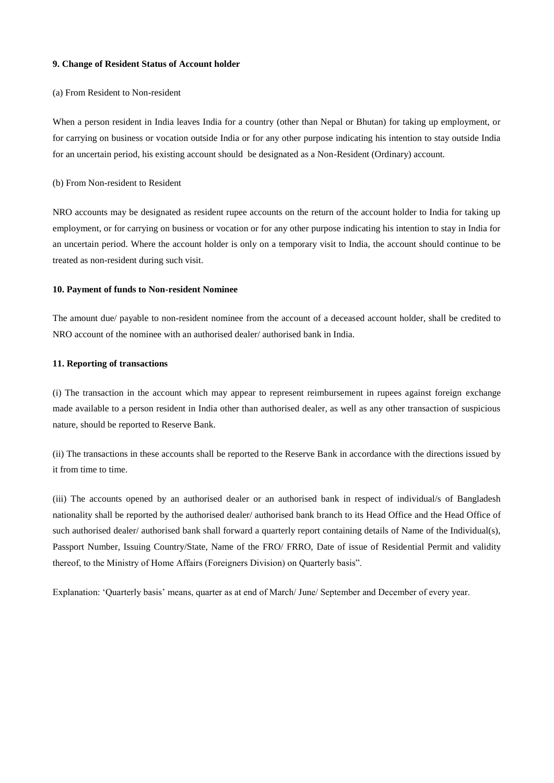#### **9. Change of Resident Status of Account holder**

#### (a) From Resident to Non-resident

When a person resident in India leaves India for a country (other than Nepal or Bhutan) for taking up employment, or for carrying on business or vocation outside India or for any other purpose indicating his intention to stay outside India for an uncertain period, his existing account should be designated as a Non-Resident (Ordinary) account.

## (b) From Non-resident to Resident

NRO accounts may be designated as resident rupee accounts on the return of the account holder to India for taking up employment, or for carrying on business or vocation or for any other purpose indicating his intention to stay in India for an uncertain period. Where the account holder is only on a temporary visit to India, the account should continue to be treated as non-resident during such visit.

### **10. Payment of funds to Non-resident Nominee**

The amount due/ payable to non-resident nominee from the account of a deceased account holder, shall be credited to NRO account of the nominee with an authorised dealer/ authorised bank in India.

# **11. Reporting of transactions**

(i) The transaction in the account which may appear to represent reimbursement in rupees against foreign exchange made available to a person resident in India other than authorised dealer, as well as any other transaction of suspicious nature, should be reported to Reserve Bank.

(ii) The transactions in these accounts shall be reported to the Reserve Bank in accordance with the directions issued by it from time to time.

(iii) The accounts opened by an authorised dealer or an authorised bank in respect of individual/s of Bangladesh nationality shall be reported by the authorised dealer/ authorised bank branch to its Head Office and the Head Office of such authorised dealer/ authorised bank shall forward a quarterly report containing details of Name of the Individual(s), Passport Number, Issuing Country/State, Name of the FRO/ FRRO, Date of issue of Residential Permit and validity thereof, to the Ministry of Home Affairs (Foreigners Division) on Quarterly basis".

Explanation: 'Quarterly basis' means, quarter as at end of March/ June/ September and December of every year.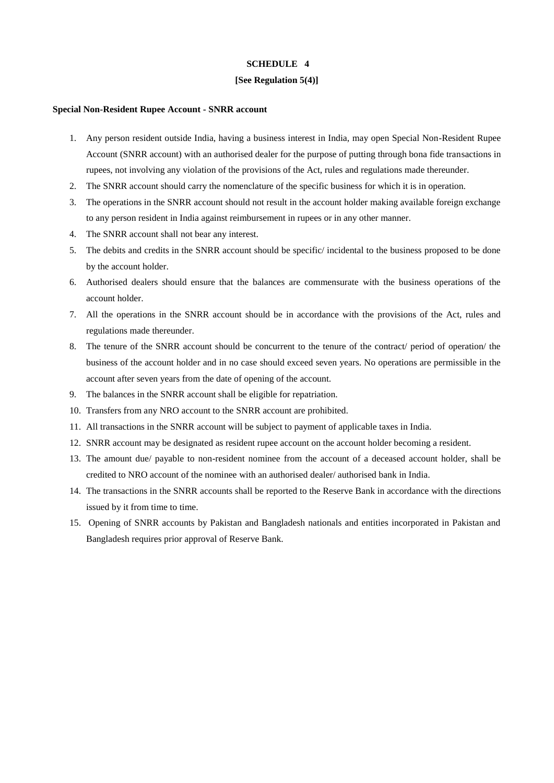### **[See Regulation 5(4)]**

#### **Special Non-Resident Rupee Account - SNRR account**

- 1. Any person resident outside India, having a business interest in India, may open Special Non-Resident Rupee Account (SNRR account) with an authorised dealer for the purpose of putting through bona fide transactions in rupees, not involving any violation of the provisions of the Act, rules and regulations made thereunder.
- 2. The SNRR account should carry the nomenclature of the specific business for which it is in operation.
- 3. The operations in the SNRR account should not result in the account holder making available foreign exchange to any person resident in India against reimbursement in rupees or in any other manner.
- 4. The SNRR account shall not bear any interest.
- 5. The debits and credits in the SNRR account should be specific/ incidental to the business proposed to be done by the account holder.
- 6. Authorised dealers should ensure that the balances are commensurate with the business operations of the account holder.
- 7. All the operations in the SNRR account should be in accordance with the provisions of the Act, rules and regulations made thereunder.
- 8. The tenure of the SNRR account should be concurrent to the tenure of the contract/ period of operation/ the business of the account holder and in no case should exceed seven years. No operations are permissible in the account after seven years from the date of opening of the account.
- 9. The balances in the SNRR account shall be eligible for repatriation.
- 10. Transfers from any NRO account to the SNRR account are prohibited.
- 11. All transactions in the SNRR account will be subject to payment of applicable taxes in India.
- 12. SNRR account may be designated as resident rupee account on the account holder becoming a resident.
- 13. The amount due/ payable to non-resident nominee from the account of a deceased account holder, shall be credited to NRO account of the nominee with an authorised dealer/ authorised bank in India.
- 14. The transactions in the SNRR accounts shall be reported to the Reserve Bank in accordance with the directions issued by it from time to time.
- 15. Opening of SNRR accounts by Pakistan and Bangladesh nationals and entities incorporated in Pakistan and Bangladesh requires prior approval of Reserve Bank.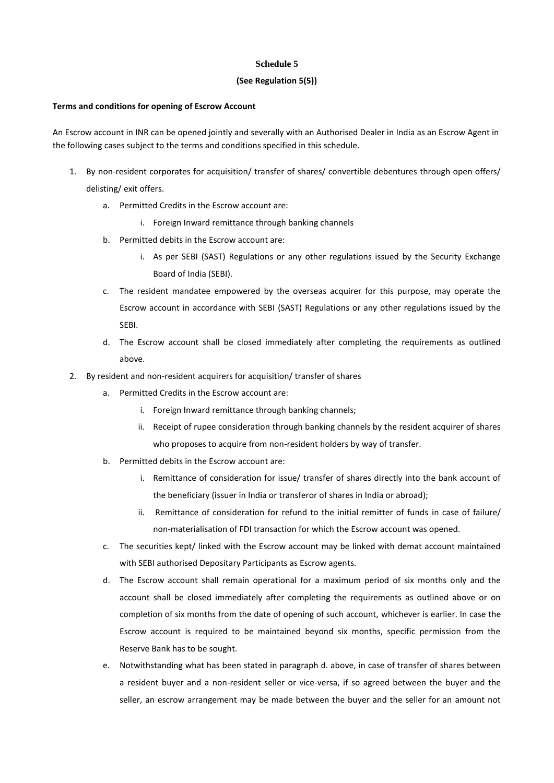# **Schedule 5**

# **(See Regulation 5(5))**

# **Terms and conditions for opening of Escrow Account**

An Escrow account in INR can be opened jointly and severally with an Authorised Dealer in India as an Escrow Agent in the following cases subject to the terms and conditions specified in this schedule.

- 1. By non-resident corporates for acquisition/ transfer of shares/ convertible debentures through open offers/ delisting/ exit offers.
	- a. Permitted Credits in the Escrow account are:
		- i. Foreign Inward remittance through banking channels
	- b. Permitted debits in the Escrow account are:
		- i. As per SEBI (SAST) Regulations or any other regulations issued by the Security Exchange Board of India (SEBI).
	- c. The resident mandatee empowered by the overseas acquirer for this purpose, may operate the Escrow account in accordance with SEBI (SAST) Regulations or any other regulations issued by the SEBI.
	- d. The Escrow account shall be closed immediately after completing the requirements as outlined above.
- 2. By resident and non-resident acquirers for acquisition/ transfer of shares
	- a. Permitted Credits in the Escrow account are:
		- i. Foreign Inward remittance through banking channels;
		- ii. Receipt of rupee consideration through banking channels by the resident acquirer of shares who proposes to acquire from non-resident holders by way of transfer.
	- b. Permitted debits in the Escrow account are:
		- i. Remittance of consideration for issue/ transfer of shares directly into the bank account of the beneficiary (issuer in India or transferor of shares in India or abroad);
		- ii. Remittance of consideration for refund to the initial remitter of funds in case of failure/ non-materialisation of FDI transaction for which the Escrow account was opened.
	- c. The securities kept/ linked with the Escrow account may be linked with demat account maintained with SEBI authorised Depositary Participants as Escrow agents.
	- d. The Escrow account shall remain operational for a maximum period of six months only and the account shall be closed immediately after completing the requirements as outlined above or on completion of six months from the date of opening of such account, whichever is earlier. In case the Escrow account is required to be maintained beyond six months, specific permission from the Reserve Bank has to be sought.
	- e. Notwithstanding what has been stated in paragraph d. above, in case of transfer of shares between a resident buyer and a non-resident seller or vice-versa, if so agreed between the buyer and the seller, an escrow arrangement may be made between the buyer and the seller for an amount not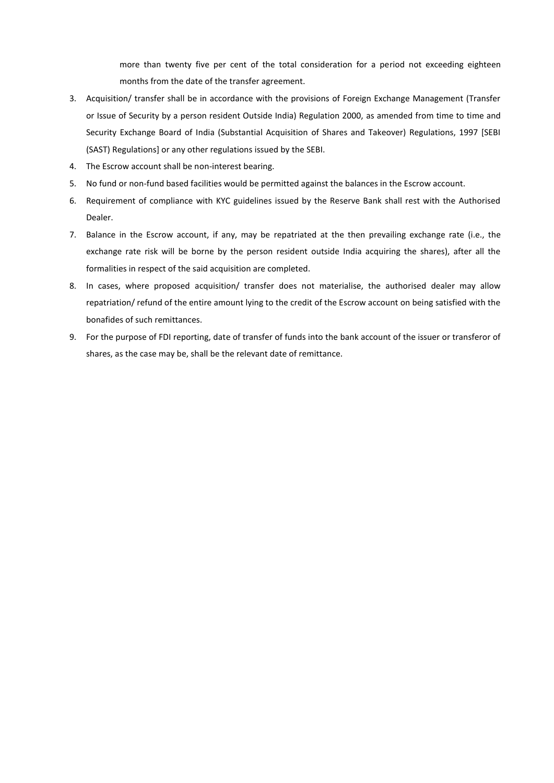more than twenty five per cent of the total consideration for a period not exceeding eighteen months from the date of the transfer agreement.

- 3. Acquisition/ transfer shall be in accordance with the provisions of Foreign Exchange Management (Transfer or Issue of Security by a person resident Outside India) Regulation 2000, as amended from time to time and Security Exchange Board of India (Substantial Acquisition of Shares and Takeover) Regulations, 1997 [SEBI (SAST) Regulations] or any other regulations issued by the SEBI.
- 4. The Escrow account shall be non-interest bearing.
- 5. No fund or non-fund based facilities would be permitted against the balances in the Escrow account.
- 6. Requirement of compliance with KYC guidelines issued by the Reserve Bank shall rest with the Authorised Dealer.
- 7. Balance in the Escrow account, if any, may be repatriated at the then prevailing exchange rate (i.e., the exchange rate risk will be borne by the person resident outside India acquiring the shares), after all the formalities in respect of the said acquisition are completed.
- 8. In cases, where proposed acquisition/ transfer does not materialise, the authorised dealer may allow repatriation/ refund of the entire amount lying to the credit of the Escrow account on being satisfied with the bonafides of such remittances.
- 9. For the purpose of FDI reporting, date of transfer of funds into the bank account of the issuer or transferor of shares, as the case may be, shall be the relevant date of remittance.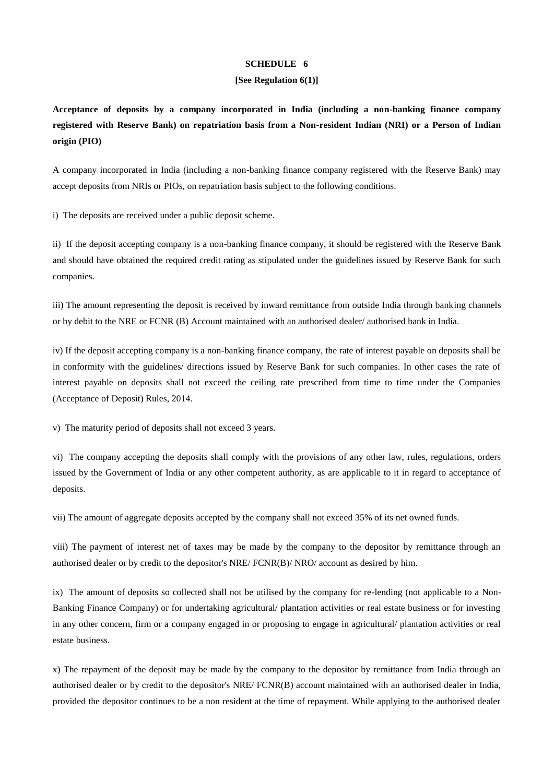#### **[See Regulation 6(1)]**

**Acceptance of deposits by a company incorporated in India (including a non-banking finance company registered with Reserve Bank) on repatriation basis from a Non-resident Indian (NRI) or a Person of Indian origin (PIO)**

A company incorporated in India (including a non-banking finance company registered with the Reserve Bank) may accept deposits from NRIs or PIOs, on repatriation basis subject to the following conditions.

i) The deposits are received under a public deposit scheme.

ii) If the deposit accepting company is a non-banking finance company, it should be registered with the Reserve Bank and should have obtained the required credit rating as stipulated under the guidelines issued by Reserve Bank for such companies.

iii) The amount representing the deposit is received by inward remittance from outside India through banking channels or by debit to the NRE or FCNR (B) Account maintained with an authorised dealer/ authorised bank in India.

iv) If the deposit accepting company is a non-banking finance company, the rate of interest payable on deposits shall be in conformity with the guidelines/ directions issued by Reserve Bank for such companies. In other cases the rate of interest payable on deposits shall not exceed the ceiling rate prescribed from time to time under the Companies (Acceptance of Deposit) Rules, 2014.

v) The maturity period of deposits shall not exceed 3 years.

vi) The company accepting the deposits shall comply with the provisions of any other law, rules, regulations, orders issued by the Government of India or any other competent authority, as are applicable to it in regard to acceptance of deposits.

vii) The amount of aggregate deposits accepted by the company shall not exceed 35% of its net owned funds.

viii) The payment of interest net of taxes may be made by the company to the depositor by remittance through an authorised dealer or by credit to the depositor's NRE/ FCNR(B)/ NRO/ account as desired by him.

ix) The amount of deposits so collected shall not be utilised by the company for re-lending (not applicable to a Non-Banking Finance Company) or for undertaking agricultural/ plantation activities or real estate business or for investing in any other concern, firm or a company engaged in or proposing to engage in agricultural/ plantation activities or real estate business.

x) The repayment of the deposit may be made by the company to the depositor by remittance from India through an authorised dealer or by credit to the depositor's NRE/ FCNR(B) account maintained with an authorised dealer in India, provided the depositor continues to be a non resident at the time of repayment. While applying to the authorised dealer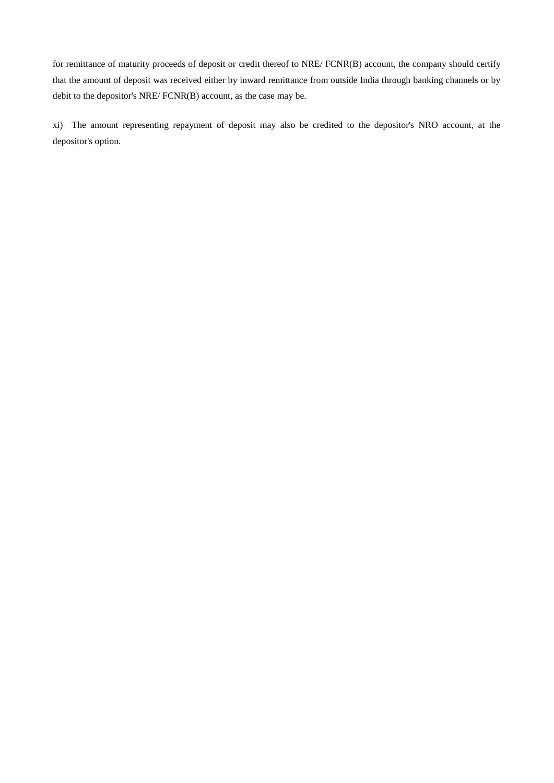for remittance of maturity proceeds of deposit or credit thereof to NRE/ FCNR(B) account, the company should certify that the amount of deposit was received either by inward remittance from outside India through banking channels or by debit to the depositor's NRE/ FCNR(B) account, as the case may be.

xi) The amount representing repayment of deposit may also be credited to the depositor's NRO account, at the depositor's option.